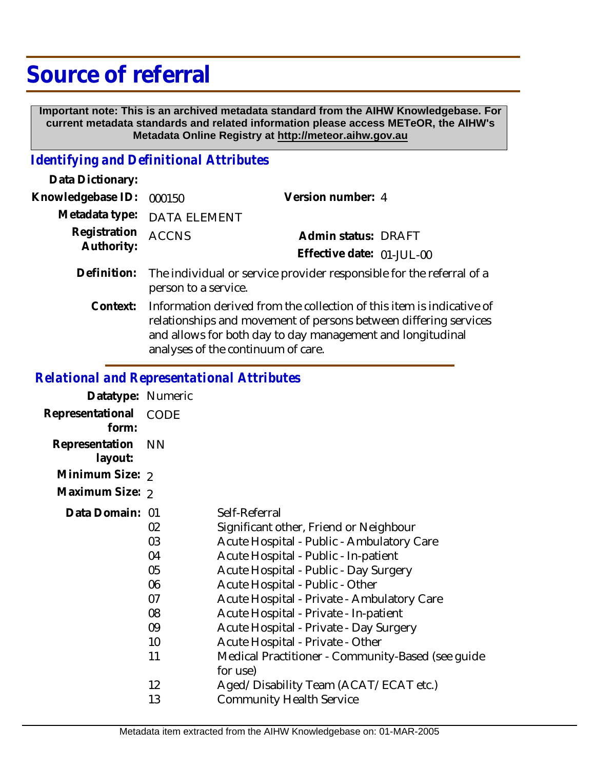# **Source of referral**

 **Important note: This is an archived metadata standard from the AIHW Knowledgebase. For current metadata standards and related information please access METeOR, the AIHW's Metadata Online Registry at http://meteor.aihw.gov.au**

### *Identifying and Definitional Attributes*

| Data Dictionary:           |                                                                                                                                                                                                                                               |                           |
|----------------------------|-----------------------------------------------------------------------------------------------------------------------------------------------------------------------------------------------------------------------------------------------|---------------------------|
| Knowledgebase ID:          | 000150                                                                                                                                                                                                                                        | Version number: 4         |
| Metadata type:             | DATA ELEMENT                                                                                                                                                                                                                                  |                           |
| Registration<br>Authority: | <b>ACCNS</b>                                                                                                                                                                                                                                  | Admin status: DRAFT       |
|                            |                                                                                                                                                                                                                                               | Effective date: 01-JUL-00 |
| Definition:                | The individual or service provider responsible for the referral of a<br>person to a service.                                                                                                                                                  |                           |
| Context:                   | Information derived from the collection of this item is indicative of<br>relationships and movement of persons between differing services<br>and allows for both day to day management and longitudinal<br>analyses of the continuum of care. |                           |

## *Relational and Representational Attributes*

| Datatype: Numeric         |                   |                                                                          |
|---------------------------|-------------------|--------------------------------------------------------------------------|
| Representational<br>form: | CODE              |                                                                          |
| Representation<br>layout: | <b>NN</b>         |                                                                          |
| Minimum Size: 2           |                   |                                                                          |
| Maximum Size: 2           |                   |                                                                          |
| Data Domain: 01           |                   | Self-Referral                                                            |
|                           | 02                | Significant other, Friend or Neighbour                                   |
|                           | 03                | Acute Hospital - Public - Ambulatory Care                                |
|                           | 04                | Acute Hospital - Public - In-patient                                     |
|                           | 05                | Acute Hospital - Public - Day Surgery                                    |
|                           | 06                | Acute Hospital - Public - Other                                          |
|                           | 07                | Acute Hospital - Private - Ambulatory Care                               |
|                           | 08                | Acute Hospital - Private - In-patient                                    |
|                           | 09                | Acute Hospital - Private - Day Surgery                                   |
|                           | 10 <sup>°</sup>   | Acute Hospital - Private - Other                                         |
|                           | 11                | Medical Practitioner - Community-Based (see guide<br>for use)            |
|                           | $12 \overline{ }$ |                                                                          |
|                           | 13                | Aged/Disability Team (ACAT/ECAT etc.)<br><b>Community Health Service</b> |
|                           |                   |                                                                          |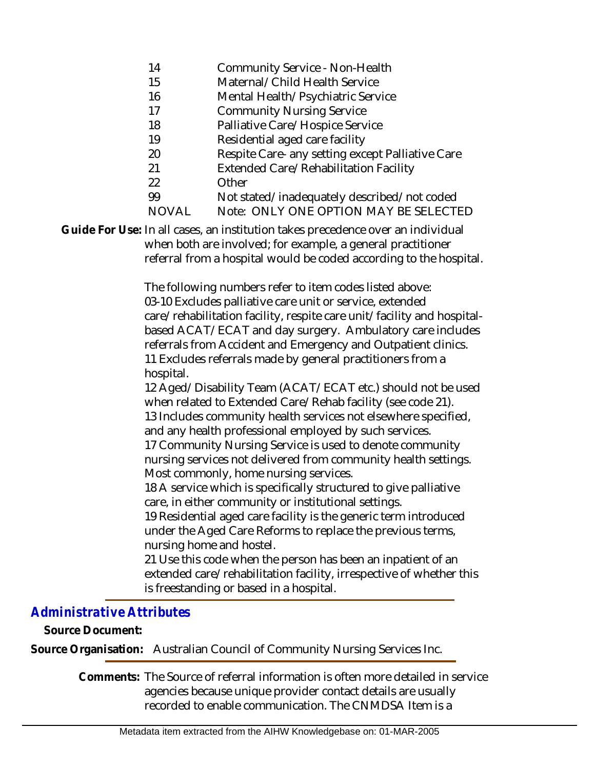- 14 Community Service - Non-Health
- 15 Maternal/Child Health Service
- 16 Mental Health/Psychiatric Service
- 17 Community Nursing Service
- 18 Palliative Care/Hospice Service
- 19 Residential aged care facility
- 20 Respite Care- any setting except Palliative Care
- 21 Extended Care/Rehabilitation Facility
- 22 **Other**
- 99 Not stated/inadequately described/not coded
- **NOVAL** Note: ONLY ONE OPTION MAY BE SELECTED

Guide For Use: In all cases, an institution takes precedence over an individual when both are involved; for example, a general practitioner referral from a hospital would be coded according to the hospital.

> The following numbers refer to item codes listed above: 03-10 Excludes palliative care unit or service, extended care/rehabilitation facility, respite care unit/facility and hospitalbased ACAT/ECAT and day surgery. Ambulatory care includes referrals from Accident and Emergency and Outpatient clinics. 11 Excludes referrals made by general practitioners from a hospital.

> 12 Aged/Disability Team (ACAT/ECAT etc.) should not be used when related to Extended Care/Rehab facility (see code 21). 13 Includes community health services not elsewhere specified, and any health professional employed by such services.

17 Community Nursing Service is used to denote community nursing services not delivered from community health settings. Most commonly, home nursing services.

18 A service which is specifically structured to give palliative care, in either community or institutional settings.

19 Residential aged care facility is the generic term introduced under the Aged Care Reforms to replace the previous terms, nursing home and hostel.

21 Use this code when the person has been an inpatient of an extended care/rehabilitation facility, irrespective of whether this is freestanding or based in a hospital.

### *Administrative Attributes*

**Source Document:**

**Source Organisation:** Australian Council of Community Nursing Services Inc.

Comments: The Source of referral information is often more detailed in service agencies because unique provider contact details are usually recorded to enable communication. The CNMDSA Item is a